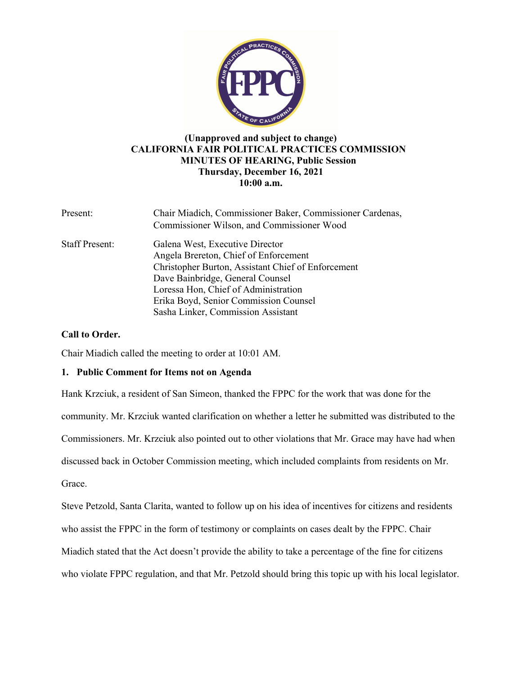

# **(Unapproved and subject to change) CALIFORNIA FAIR POLITICAL PRACTICES COMMISSION MINUTES OF HEARING, Public Session Thursday, December 16, 2021 10:00 a.m.**

| Present:              | Chair Miadich, Commissioner Baker, Commissioner Cardenas,<br>Commissioner Wilson, and Commissioner Wood                                                                                                                                                                                   |
|-----------------------|-------------------------------------------------------------------------------------------------------------------------------------------------------------------------------------------------------------------------------------------------------------------------------------------|
| <b>Staff Present:</b> | Galena West, Executive Director<br>Angela Brereton, Chief of Enforcement<br>Christopher Burton, Assistant Chief of Enforcement<br>Dave Bainbridge, General Counsel<br>Loressa Hon, Chief of Administration<br>Erika Boyd, Senior Commission Counsel<br>Sasha Linker, Commission Assistant |

# **Call to Order.**

Chair Miadich called the meeting to order at 10:01 AM.

# **1. Public Comment for Items not on Agenda**

Hank Krzciuk, a resident of San Simeon, thanked the FPPC for the work that was done for the community. Mr. Krzciuk wanted clarification on whether a letter he submitted was distributed to the Commissioners. Mr. Krzciuk also pointed out to other violations that Mr. Grace may have had when discussed back in October Commission meeting, which included complaints from residents on Mr. Grace.

Steve Petzold, Santa Clarita, wanted to follow up on his idea of incentives for citizens and residents who assist the FPPC in the form of testimony or complaints on cases dealt by the FPPC. Chair Miadich stated that the Act doesn't provide the ability to take a percentage of the fine for citizens who violate FPPC regulation, and that Mr. Petzold should bring this topic up with his local legislator.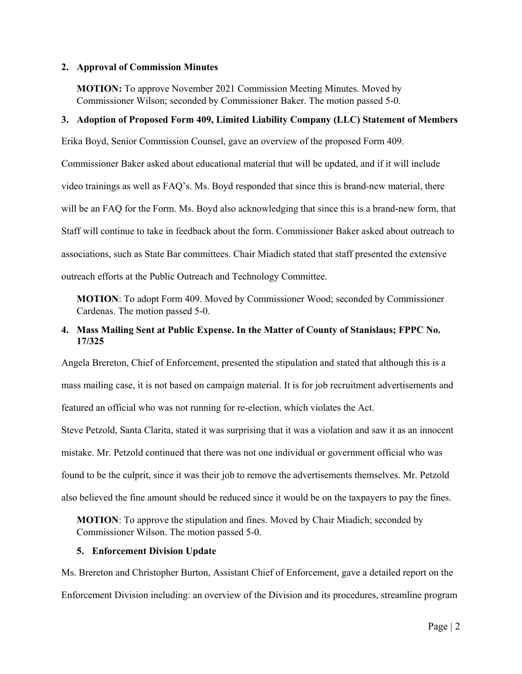#### **2. Approval of Commission Minutes**

**MOTION:** To approve November 2021 Commission Meeting Minutes. Moved by Commissioner Wilson; seconded by Commissioner Baker. The motion passed 5-0.

#### **3. Adoption of Proposed Form 409, Limited Liability Company (LLC) Statement of Members**

Erika Boyd, Senior Commission Counsel, gave an overview of the proposed Form 409.

Commissioner Baker asked about educational material that will be updated, and if it will include video trainings as well as FAQ's. Ms. Boyd responded that since this is brand-new material, there will be an FAQ for the Form. Ms. Boyd also acknowledging that since this is a brand-new form, that Staff will continue to take in feedback about the form. Commissioner Baker asked about outreach to associations, such as State Bar committees. Chair Miadich stated that staff presented the extensive outreach efforts at the Public Outreach and Technology Committee.

**MOTION**: To adopt Form 409. Moved by Commissioner Wood; seconded by Commissioner Cardenas. The motion passed 5-0.

# **4. Mass Mailing Sent at Public Expense. In the Matter of County of Stanislaus; FPPC No. 17/325**

Angela Brereton, Chief of Enforcement, presented the stipulation and stated that although this is a mass mailing case, it is not based on campaign material. It is for job recruitment advertisements and featured an official who was not running for re-election, which violates the Act.

Steve Petzold, Santa Clarita, stated it was surprising that it was a violation and saw it as an innocent mistake. Mr. Petzold continued that there was not one individual or government official who was found to be the culprit, since it was their job to remove the advertisements themselves. Mr. Petzold also believed the fine amount should be reduced since it would be on the taxpayers to pay the fines.

**MOTION**: To approve the stipulation and fines. Moved by Chair Miadich; seconded by Commissioner Wilson. The motion passed 5-0.

#### **5. Enforcement Division Update**

Ms. Brereton and Christopher Burton, Assistant Chief of Enforcement, gave a detailed report on the Enforcement Division including: an overview of the Division and its procedures, streamline program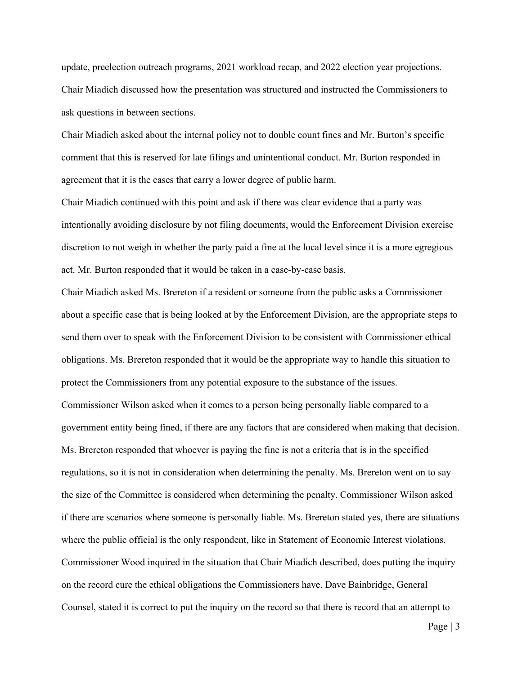update, preelection outreach programs, 2021 workload recap, and 2022 election year projections. Chair Miadich discussed how the presentation was structured and instructed the Commissioners to ask questions in between sections.

Chair Miadich asked about the internal policy not to double count fines and Mr. Burton's specific comment that this is reserved for late filings and unintentional conduct. Mr. Burton responded in agreement that it is the cases that carry a lower degree of public harm.

Chair Miadich continued with this point and ask if there was clear evidence that a party was intentionally avoiding disclosure by not filing documents, would the Enforcement Division exercise discretion to not weigh in whether the party paid a fine at the local level since it is a more egregious act. Mr. Burton responded that it would be taken in a case-by-case basis.

Chair Miadich asked Ms. Brereton if a resident or someone from the public asks a Commissioner about a specific case that is being looked at by the Enforcement Division, are the appropriate steps to send them over to speak with the Enforcement Division to be consistent with Commissioner ethical obligations. Ms. Brereton responded that it would be the appropriate way to handle this situation to protect the Commissioners from any potential exposure to the substance of the issues. Commissioner Wilson asked when it comes to a person being personally liable compared to a government entity being fined, if there are any factors that are considered when making that decision. Ms. Brereton responded that whoever is paying the fine is not a criteria that is in the specified regulations, so it is not in consideration when determining the penalty. Ms. Brereton went on to say the size of the Committee is considered when determining the penalty. Commissioner Wilson asked if there are scenarios where someone is personally liable. Ms. Brereton stated yes, there are situations where the public official is the only respondent, like in Statement of Economic Interest violations. Commissioner Wood inquired in the situation that Chair Miadich described, does putting the inquiry on the record cure the ethical obligations the Commissioners have. Dave Bainbridge, General Counsel, stated it is correct to put the inquiry on the record so that there is record that an attempt to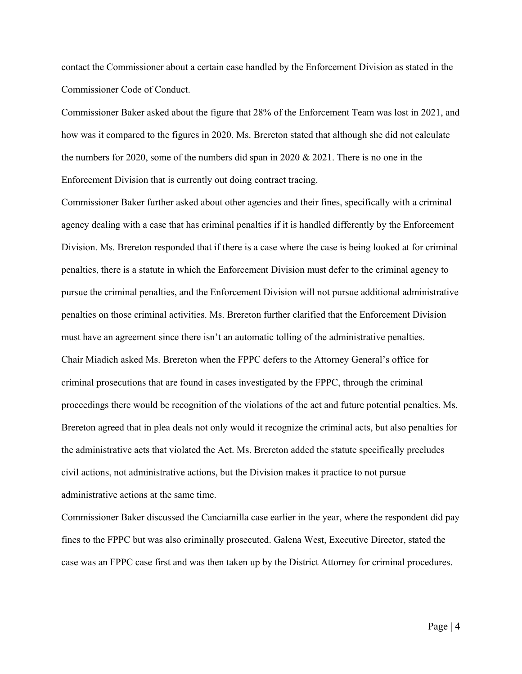contact the Commissioner about a certain case handled by the Enforcement Division as stated in the Commissioner Code of Conduct.

Commissioner Baker asked about the figure that 28% of the Enforcement Team was lost in 2021, and how was it compared to the figures in 2020. Ms. Brereton stated that although she did not calculate the numbers for 2020, some of the numbers did span in 2020  $& 2021$ . There is no one in the Enforcement Division that is currently out doing contract tracing.

Commissioner Baker further asked about other agencies and their fines, specifically with a criminal agency dealing with a case that has criminal penalties if it is handled differently by the Enforcement Division. Ms. Brereton responded that if there is a case where the case is being looked at for criminal penalties, there is a statute in which the Enforcement Division must defer to the criminal agency to pursue the criminal penalties, and the Enforcement Division will not pursue additional administrative penalties on those criminal activities. Ms. Brereton further clarified that the Enforcement Division must have an agreement since there isn't an automatic tolling of the administrative penalties. Chair Miadich asked Ms. Brereton when the FPPC defers to the Attorney General's office for criminal prosecutions that are found in cases investigated by the FPPC, through the criminal proceedings there would be recognition of the violations of the act and future potential penalties. Ms. Brereton agreed that in plea deals not only would it recognize the criminal acts, but also penalties for the administrative acts that violated the Act. Ms. Brereton added the statute specifically precludes civil actions, not administrative actions, but the Division makes it practice to not pursue administrative actions at the same time.

Commissioner Baker discussed the Canciamilla case earlier in the year, where the respondent did pay fines to the FPPC but was also criminally prosecuted. Galena West, Executive Director, stated the case was an FPPC case first and was then taken up by the District Attorney for criminal procedures.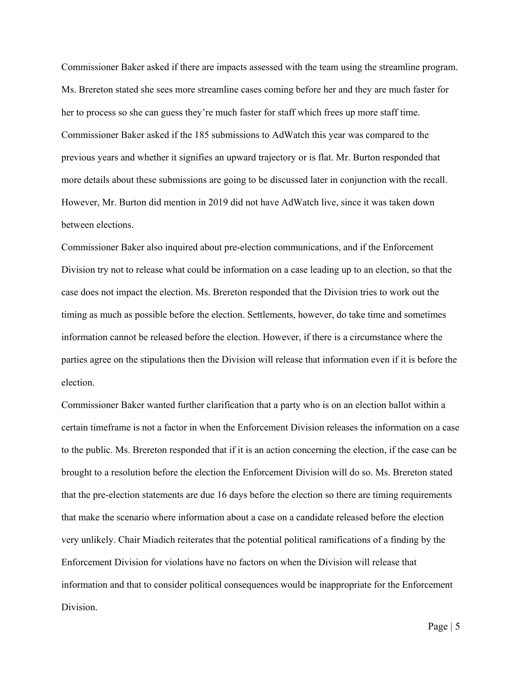Commissioner Baker asked if there are impacts assessed with the team using the streamline program. Ms. Brereton stated she sees more streamline cases coming before her and they are much faster for her to process so she can guess they're much faster for staff which frees up more staff time. Commissioner Baker asked if the 185 submissions to AdWatch this year was compared to the previous years and whether it signifies an upward trajectory or is flat. Mr. Burton responded that more details about these submissions are going to be discussed later in conjunction with the recall. However, Mr. Burton did mention in 2019 did not have AdWatch live, since it was taken down between elections.

Commissioner Baker also inquired about pre-election communications, and if the Enforcement Division try not to release what could be information on a case leading up to an election, so that the case does not impact the election. Ms. Brereton responded that the Division tries to work out the timing as much as possible before the election. Settlements, however, do take time and sometimes information cannot be released before the election. However, if there is a circumstance where the parties agree on the stipulations then the Division will release that information even if it is before the election.

Commissioner Baker wanted further clarification that a party who is on an election ballot within a certain timeframe is not a factor in when the Enforcement Division releases the information on a case to the public. Ms. Brereton responded that if it is an action concerning the election, if the case can be brought to a resolution before the election the Enforcement Division will do so. Ms. Brereton stated that the pre-election statements are due 16 days before the election so there are timing requirements that make the scenario where information about a case on a candidate released before the election very unlikely. Chair Miadich reiterates that the potential political ramifications of a finding by the Enforcement Division for violations have no factors on when the Division will release that information and that to consider political consequences would be inappropriate for the Enforcement Division.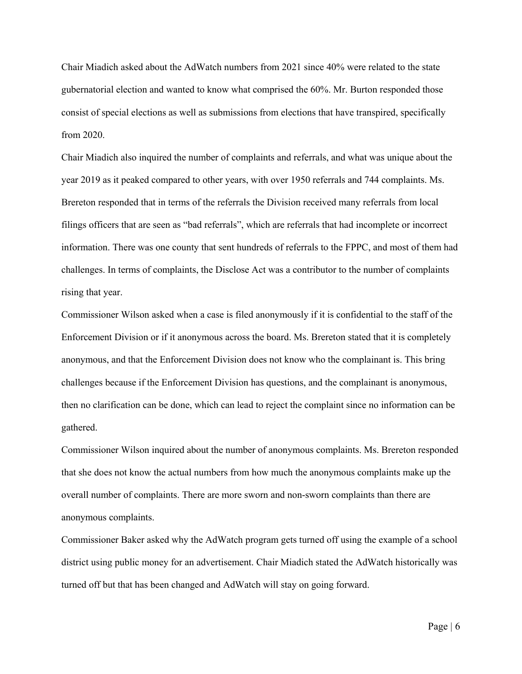Chair Miadich asked about the AdWatch numbers from 2021 since 40% were related to the state gubernatorial election and wanted to know what comprised the 60%. Mr. Burton responded those consist of special elections as well as submissions from elections that have transpired, specifically from 2020.

Chair Miadich also inquired the number of complaints and referrals, and what was unique about the year 2019 as it peaked compared to other years, with over 1950 referrals and 744 complaints. Ms. Brereton responded that in terms of the referrals the Division received many referrals from local filings officers that are seen as "bad referrals", which are referrals that had incomplete or incorrect information. There was one county that sent hundreds of referrals to the FPPC, and most of them had challenges. In terms of complaints, the Disclose Act was a contributor to the number of complaints rising that year.

Commissioner Wilson asked when a case is filed anonymously if it is confidential to the staff of the Enforcement Division or if it anonymous across the board. Ms. Brereton stated that it is completely anonymous, and that the Enforcement Division does not know who the complainant is. This bring challenges because if the Enforcement Division has questions, and the complainant is anonymous, then no clarification can be done, which can lead to reject the complaint since no information can be gathered.

Commissioner Wilson inquired about the number of anonymous complaints. Ms. Brereton responded that she does not know the actual numbers from how much the anonymous complaints make up the overall number of complaints. There are more sworn and non-sworn complaints than there are anonymous complaints.

Commissioner Baker asked why the AdWatch program gets turned off using the example of a school district using public money for an advertisement. Chair Miadich stated the AdWatch historically was turned off but that has been changed and AdWatch will stay on going forward.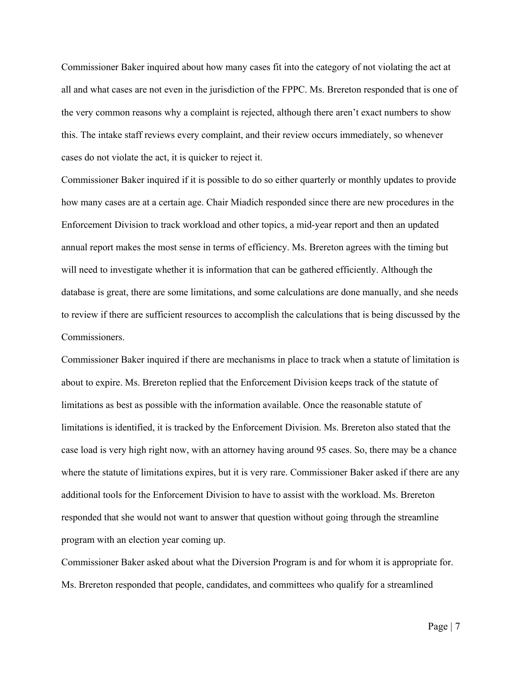Commissioner Baker inquired about how many cases fit into the category of not violating the act at all and what cases are not even in the jurisdiction of the FPPC. Ms. Brereton responded that is one of the very common reasons why a complaint is rejected, although there aren't exact numbers to show this. The intake staff reviews every complaint, and their review occurs immediately, so whenever cases do not violate the act, it is quicker to reject it.

Commissioner Baker inquired if it is possible to do so either quarterly or monthly updates to provide how many cases are at a certain age. Chair Miadich responded since there are new procedures in the Enforcement Division to track workload and other topics, a mid-year report and then an updated annual report makes the most sense in terms of efficiency. Ms. Brereton agrees with the timing but will need to investigate whether it is information that can be gathered efficiently. Although the database is great, there are some limitations, and some calculations are done manually, and she needs to review if there are sufficient resources to accomplish the calculations that is being discussed by the Commissioners.

Commissioner Baker inquired if there are mechanisms in place to track when a statute of limitation is about to expire. Ms. Brereton replied that the Enforcement Division keeps track of the statute of limitations as best as possible with the information available. Once the reasonable statute of limitations is identified, it is tracked by the Enforcement Division. Ms. Brereton also stated that the case load is very high right now, with an attorney having around 95 cases. So, there may be a chance where the statute of limitations expires, but it is very rare. Commissioner Baker asked if there are any additional tools for the Enforcement Division to have to assist with the workload. Ms. Brereton responded that she would not want to answer that question without going through the streamline program with an election year coming up.

Commissioner Baker asked about what the Diversion Program is and for whom it is appropriate for. Ms. Brereton responded that people, candidates, and committees who qualify for a streamlined